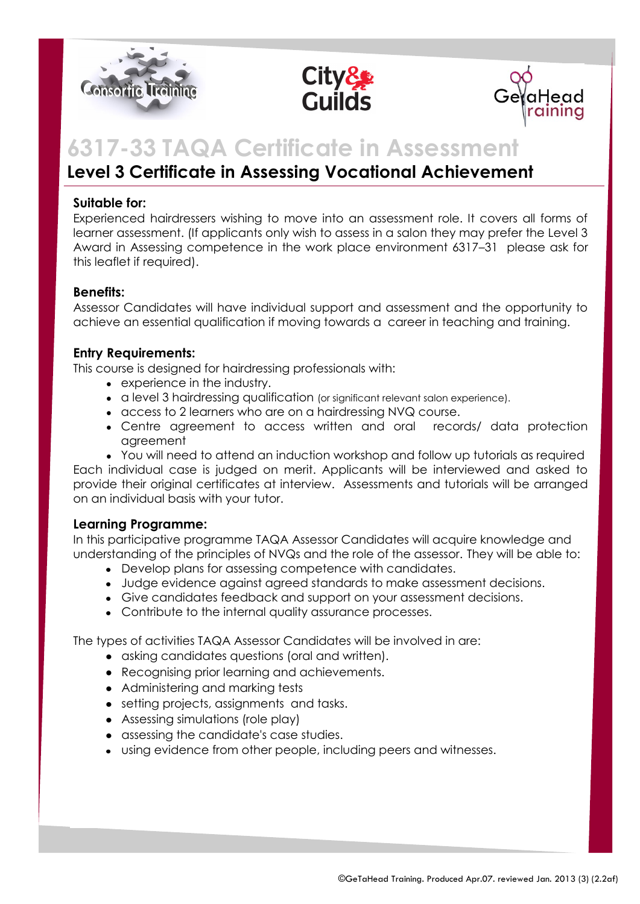





# **6317-33 TAQA Certificate in Assessment**

# **Level 3 Certificate in Assessing Vocational Achievement**

# **Suitable for:**

Experienced hairdressers wishing to move into an assessment role. It covers all forms of learner assessment. (If applicants only wish to assess in a salon they may prefer the Level 3 Award in Assessing competence in the work place environment 6317–31 please ask for this leaflet if required).

#### **Benefits:**

Assessor Candidates will have individual support and assessment and the opportunity to achieve an essential qualification if moving towards a career in teaching and training.

# **Entry Requirements:**

This course is designed for hairdressing professionals with:

- experience in the industry.
- a level 3 hairdressing qualification (or significant relevant salon experience).
- access to 2 learners who are on a hairdressing NVQ course.
- Centre agreement to access written and oral records/ data protection agreement
- You will need to attend an induction workshop and follow up tutorials as required

Each individual case is judged on merit. Applicants will be interviewed and asked to provide their original certificates at interview. Assessments and tutorials will be arranged on an individual basis with your tutor.

# **Learning Programme:**

In this participative programme TAQA Assessor Candidates will acquire knowledge and understanding of the principles of NVQs and the role of the assessor. They will be able to:

- Develop plans for assessing competence with candidates.
- Judge evidence against agreed standards to make assessment decisions.
- Give candidates feedback and support on your assessment decisions.
- Contribute to the internal quality assurance processes.

The types of activities TAQA Assessor Candidates will be involved in are:

- asking candidates questions (oral and written).
- Recognising prior learning and achievements.
- Administering and marking tests
- setting projects, assignments and tasks.
- Assessing simulations (role play)
- assessing the candidate's case studies.
- using evidence from other people, including peers and witnesses.